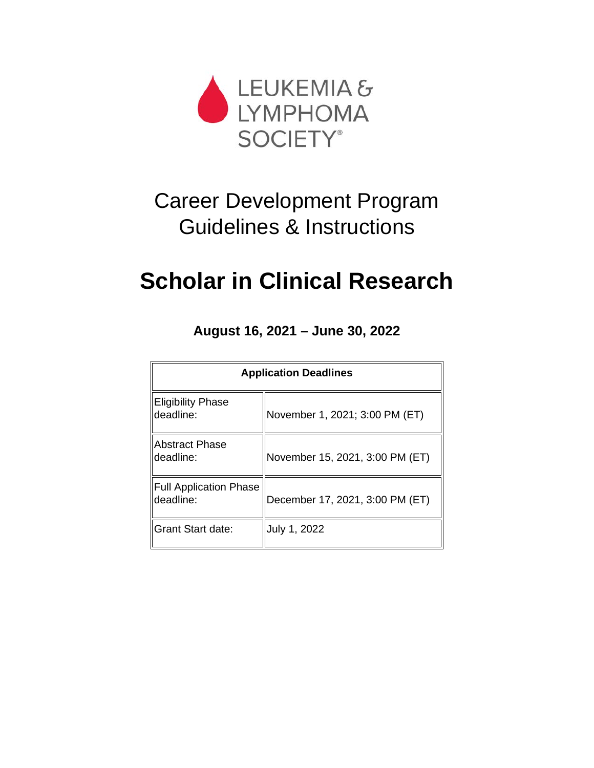

# Career Development Program Guidelines & Instructions

# **Scholar in Clinical Research**

**August 16, 2021 – June 30, 2022**

| <b>Application Deadlines</b>               |                                 |  |
|--------------------------------------------|---------------------------------|--|
| <b>Eligibility Phase</b><br>deadline:      | November 1, 2021; 3:00 PM (ET)  |  |
| <b>Abstract Phase</b><br>deadline:         | November 15, 2021, 3:00 PM (ET) |  |
| <b>Full Application Phase</b><br>deadline: | December 17, 2021, 3:00 PM (ET) |  |
| <b>Grant Start date:</b>                   | July 1, 2022                    |  |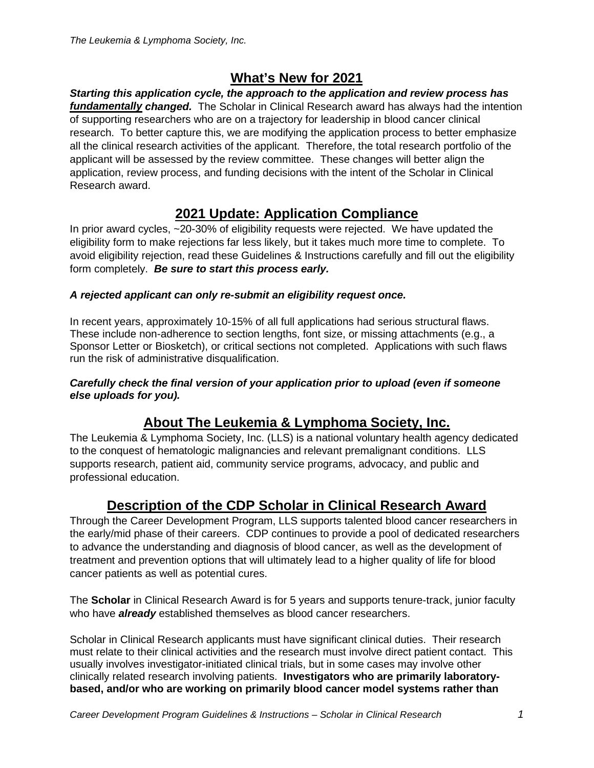# **What's New for 2021**

*Starting this application cycle, the approach to the application and review process has fundamentally changed.* The Scholar in Clinical Research award has always had the intention of supporting researchers who are on a trajectory for leadership in blood cancer clinical research. To better capture this, we are modifying the application process to better emphasize all the clinical research activities of the applicant. Therefore, the total research portfolio of the applicant will be assessed by the review committee. These changes will better align the application, review process, and funding decisions with the intent of the Scholar in Clinical Research award.

# **2021 Update: Application Compliance**

In prior award cycles, ~20-30% of eligibility requests were rejected. We have updated the eligibility form to make rejections far less likely, but it takes much more time to complete. To avoid eligibility rejection, read these Guidelines & Instructions carefully and fill out the eligibility form completely. *Be sure to start this process early.*

## *A rejected applicant can only re-submit an eligibility request once.*

In recent years, approximately 10-15% of all full applications had serious structural flaws. These include non-adherence to section lengths, font size, or missing attachments (e.g., a Sponsor Letter or Biosketch), or critical sections not completed. Applications with such flaws run the risk of administrative disqualification.

#### *Carefully check the final version of your application prior to upload (even if someone else uploads for you).*

# **About The Leukemia & Lymphoma Society, Inc.**

The Leukemia & Lymphoma Society, Inc. (LLS) is a national voluntary health agency dedicated to the conquest of hematologic malignancies and relevant premalignant conditions. LLS supports research, patient aid, community service programs, advocacy, and public and professional education.

# **Description of the CDP Scholar in Clinical Research Award**

Through the Career Development Program, LLS supports talented blood cancer researchers in the early/mid phase of their careers. CDP continues to provide a pool of dedicated researchers to advance the understanding and diagnosis of blood cancer, as well as the development of treatment and prevention options that will ultimately lead to a higher quality of life for blood cancer patients as well as potential cures.

The **Scholar** in Clinical Research Award is for 5 years and supports tenure-track, junior faculty who have *already* established themselves as blood cancer researchers.

Scholar in Clinical Research applicants must have significant clinical duties. Their research must relate to their clinical activities and the research must involve direct patient contact. This usually involves investigator-initiated clinical trials, but in some cases may involve other clinically related research involving patients. **Investigators who are primarily laboratorybased, and/or who are working on primarily blood cancer model systems rather than**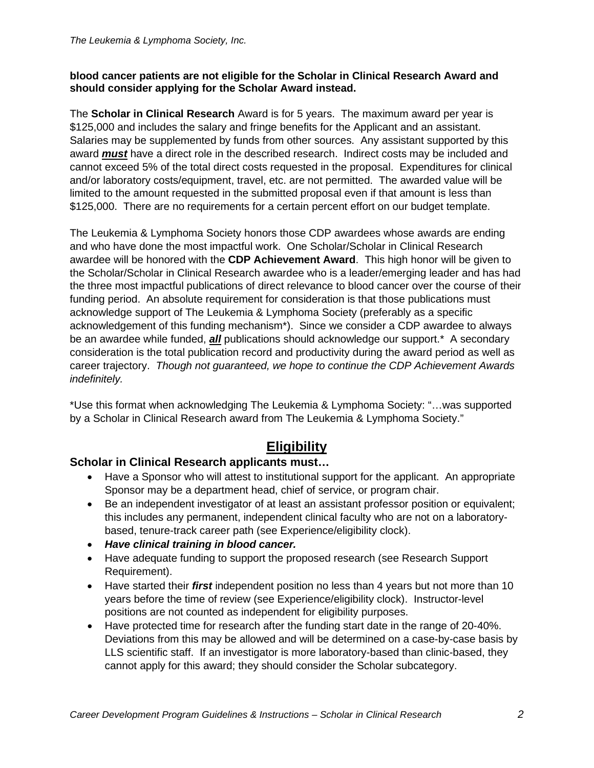#### **blood cancer patients are not eligible for the Scholar in Clinical Research Award and should consider applying for the Scholar Award instead.**

The **Scholar in Clinical Research** Award is for 5 years. The maximum award per year is \$125,000 and includes the salary and fringe benefits for the Applicant and an assistant. Salaries may be supplemented by funds from other sources. Any assistant supported by this award *must* have a direct role in the described research. Indirect costs may be included and cannot exceed 5% of the total direct costs requested in the proposal. Expenditures for clinical and/or laboratory costs/equipment, travel, etc. are not permitted. The awarded value will be limited to the amount requested in the submitted proposal even if that amount is less than \$125,000. There are no requirements for a certain percent effort on our budget template.

The Leukemia & Lymphoma Society honors those CDP awardees whose awards are ending and who have done the most impactful work. One Scholar/Scholar in Clinical Research awardee will be honored with the **CDP Achievement Award**. This high honor will be given to the Scholar/Scholar in Clinical Research awardee who is a leader/emerging leader and has had the three most impactful publications of direct relevance to blood cancer over the course of their funding period. An absolute requirement for consideration is that those publications must acknowledge support of The Leukemia & Lymphoma Society (preferably as a specific acknowledgement of this funding mechanism\*). Since we consider a CDP awardee to always be an awardee while funded, *all* publications should acknowledge our support.\* A secondary consideration is the total publication record and productivity during the award period as well as career trajectory. *Though not guaranteed, we hope to continue the CDP Achievement Awards indefinitely.*

\*Use this format when acknowledging The Leukemia & Lymphoma Society: "…was supported by a Scholar in Clinical Research award from The Leukemia & Lymphoma Society."

# **Eligibility**

## **Scholar in Clinical Research applicants must…**

- Have a Sponsor who will attest to institutional support for the applicant. An appropriate Sponsor may be a department head, chief of service, or program chair.
- Be an independent investigator of at least an assistant professor position or equivalent; this includes any permanent, independent clinical faculty who are not on a laboratorybased, tenure-track career path (see Experience/eligibility clock).
- *Have clinical training in blood cancer.*
- Have adequate funding to support the proposed research (see Research Support Requirement).
- Have started their *first* independent position no less than 4 years but not more than 10 years before the time of review (see Experience/eligibility clock). Instructor-level positions are not counted as independent for eligibility purposes.
- Have protected time for research after the funding start date in the range of 20-40%. Deviations from this may be allowed and will be determined on a case-by-case basis by LLS scientific staff. If an investigator is more laboratory-based than clinic-based, they cannot apply for this award; they should consider the Scholar subcategory.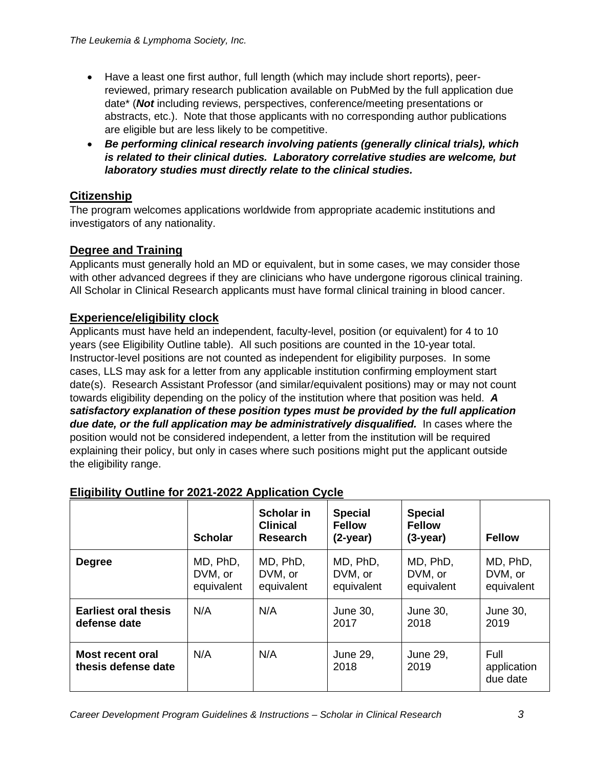- Have a least one first author, full length (which may include short reports), peerreviewed, primary research publication available on PubMed by the full application due date\* (*Not* including reviews, perspectives, conference/meeting presentations or abstracts, etc.). Note that those applicants with no corresponding author publications are eligible but are less likely to be competitive.
- *Be performing clinical research involving patients (generally clinical trials), which is related to their clinical duties. Laboratory correlative studies are welcome, but laboratory studies must directly relate to the clinical studies.*

# **Citizenship**

The program welcomes applications worldwide from appropriate academic institutions and investigators of any nationality.

# **Degree and Training**

Applicants must generally hold an MD or equivalent, but in some cases, we may consider those with other advanced degrees if they are clinicians who have undergone rigorous clinical training. All Scholar in Clinical Research applicants must have formal clinical training in blood cancer.

## **Experience/eligibility clock**

Applicants must have held an independent, faculty-level, position (or equivalent) for 4 to 10 years (see Eligibility Outline table). All such positions are counted in the 10-year total. Instructor-level positions are not counted as independent for eligibility purposes. In some cases, LLS may ask for a letter from any applicable institution confirming employment start date(s). Research Assistant Professor (and similar/equivalent positions) may or may not count towards eligibility depending on the policy of the institution where that position was held. *A satisfactory explanation of these position types must be provided by the full application due date, or the full application may be administratively disqualified.* In cases where the position would not be considered independent, a letter from the institution will be required explaining their policy, but only in cases where such positions might put the applicant outside the eligibility range.

|                                             | <b>Scholar</b>                    | <b>Scholar in</b><br><b>Clinical</b><br><b>Research</b> | <b>Special</b><br><b>Fellow</b><br>$(2-year)$ | <b>Special</b><br><b>Fellow</b><br>$(3-year)$ | <b>Fellow</b>                     |
|---------------------------------------------|-----------------------------------|---------------------------------------------------------|-----------------------------------------------|-----------------------------------------------|-----------------------------------|
| <b>Degree</b>                               | MD, PhD,<br>DVM, or<br>equivalent | MD, PhD,<br>DVM, or<br>equivalent                       | MD, PhD,<br>DVM, or<br>equivalent             | MD, PhD,<br>DVM, or<br>equivalent             | MD, PhD,<br>DVM, or<br>equivalent |
| <b>Earliest oral thesis</b><br>defense date | N/A                               | N/A                                                     | June 30,<br>2017                              | June 30,<br>2018                              | June 30,<br>2019                  |
| Most recent oral<br>thesis defense date     | N/A                               | N/A                                                     | June 29,<br>2018                              | June 29,<br>2019                              | Full<br>application<br>due date   |

# **Eligibility Outline for 2021-2022 Application Cycle**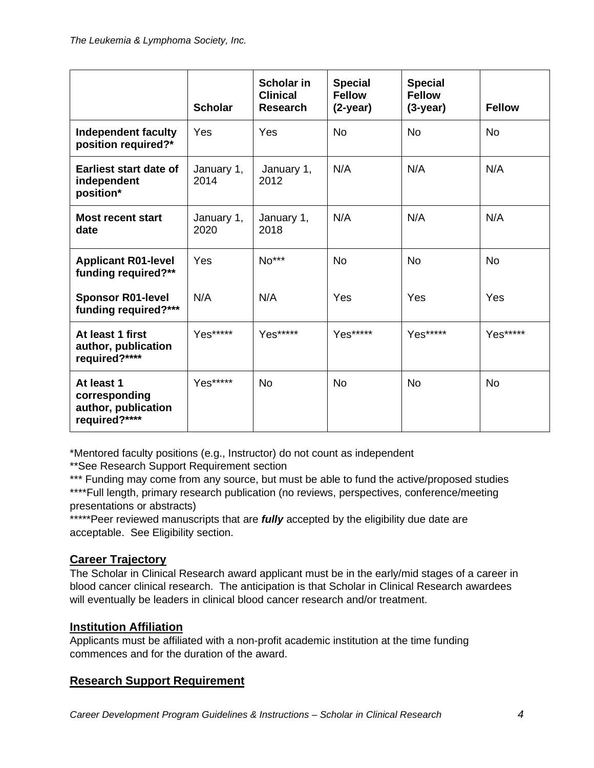|                                                                     | <b>Scholar</b>     | Scholar in<br><b>Clinical</b><br><b>Research</b> | <b>Special</b><br><b>Fellow</b><br>$(2-year)$ | <b>Special</b><br><b>Fellow</b><br>$(3-year)$ | <b>Fellow</b> |
|---------------------------------------------------------------------|--------------------|--------------------------------------------------|-----------------------------------------------|-----------------------------------------------|---------------|
| Independent faculty<br>position required?*                          | Yes                | Yes                                              | <b>No</b>                                     | <b>No</b>                                     | <b>No</b>     |
| <b>Earliest start date of</b><br>independent<br>position*           | January 1,<br>2014 | January 1,<br>2012                               | N/A                                           | N/A                                           | N/A           |
| <b>Most recent start</b><br>date                                    | January 1,<br>2020 | January 1,<br>2018                               | N/A                                           | N/A                                           | N/A           |
| <b>Applicant R01-level</b><br>funding required?**                   | Yes                | No***                                            | <b>No</b>                                     | <b>No</b>                                     | <b>No</b>     |
| <b>Sponsor R01-level</b><br>funding required?***                    | N/A                | N/A                                              | Yes                                           | Yes                                           | Yes           |
| At least 1 first<br>author, publication<br>required?****            | Yes*****           | Yes*****                                         | Yes*****                                      | Yes*****                                      | Yes*****      |
| At least 1<br>corresponding<br>author, publication<br>required?**** | Yes*****           | <b>No</b>                                        | <b>No</b>                                     | <b>No</b>                                     | <b>No</b>     |

\*Mentored faculty positions (e.g., Instructor) do not count as independent

\*\*See Research Support Requirement section

\*\*\* Funding may come from any source, but must be able to fund the active/proposed studies \*\*\*\*Full length, primary research publication (no reviews, perspectives, conference/meeting presentations or abstracts)

\*\*\*\*\*Peer reviewed manuscripts that are *fully* accepted by the eligibility due date are acceptable. See Eligibility section.

## **Career Trajectory**

The Scholar in Clinical Research award applicant must be in the early/mid stages of a career in blood cancer clinical research. The anticipation is that Scholar in Clinical Research awardees will eventually be leaders in clinical blood cancer research and/or treatment.

## **Institution Affiliation**

Applicants must be affiliated with a non-profit academic institution at the time funding commences and for the duration of the award.

## **Research Support Requirement**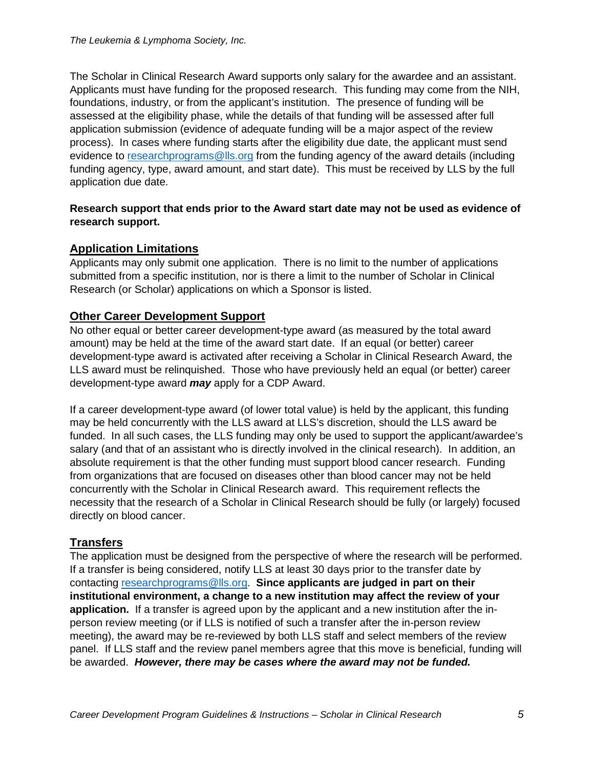The Scholar in Clinical Research Award supports only salary for the awardee and an assistant. Applicants must have funding for the proposed research. This funding may come from the NIH, foundations, industry, or from the applicant's institution. The presence of funding will be assessed at the eligibility phase, while the details of that funding will be assessed after full application submission (evidence of adequate funding will be a major aspect of the review process). In cases where funding starts after the eligibility due date, the applicant must send evidence to [researchprograms@lls.org](mailto:researchprograms@lls.org) from the funding agency of the award details (including funding agency, type, award amount, and start date). This must be received by LLS by the full application due date.

#### **Research support that ends prior to the Award start date may not be used as evidence of research support.**

## **Application Limitations**

Applicants may only submit one application. There is no limit to the number of applications submitted from a specific institution, nor is there a limit to the number of Scholar in Clinical Research (or Scholar) applications on which a Sponsor is listed.

#### **Other Career Development Support**

No other equal or better career development-type award (as measured by the total award amount) may be held at the time of the award start date. If an equal (or better) career development-type award is activated after receiving a Scholar in Clinical Research Award, the LLS award must be relinquished. Those who have previously held an equal (or better) career development-type award *may* apply for a CDP Award.

If a career development-type award (of lower total value) is held by the applicant, this funding may be held concurrently with the LLS award at LLS's discretion, should the LLS award be funded. In all such cases, the LLS funding may only be used to support the applicant/awardee's salary (and that of an assistant who is directly involved in the clinical research). In addition, an absolute requirement is that the other funding must support blood cancer research. Funding from organizations that are focused on diseases other than blood cancer may not be held concurrently with the Scholar in Clinical Research award. This requirement reflects the necessity that the research of a Scholar in Clinical Research should be fully (or largely) focused directly on blood cancer.

#### **Transfers**

The application must be designed from the perspective of where the research will be performed. If a transfer is being considered, notify LLS at least 30 days prior to the transfer date by contacting [researchprograms@lls.org.](mailto:researchprograms@lls.org) **Since applicants are judged in part on their institutional environment, a change to a new institution may affect the review of your application.** If a transfer is agreed upon by the applicant and a new institution after the inperson review meeting (or if LLS is notified of such a transfer after the in-person review meeting), the award may be re-reviewed by both LLS staff and select members of the review panel. If LLS staff and the review panel members agree that this move is beneficial, funding will be awarded. *However, there may be cases where the award may not be funded.*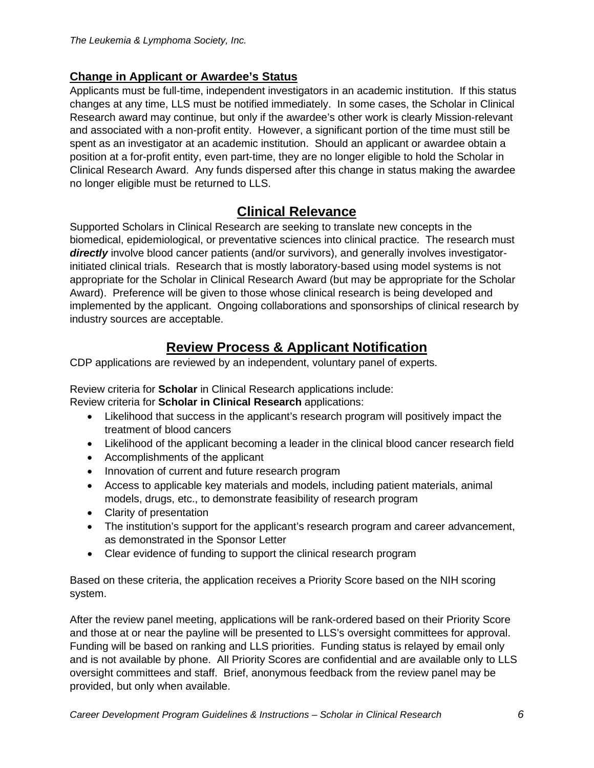## **Change in Applicant or Awardee's Status**

Applicants must be full-time, independent investigators in an academic institution. If this status changes at any time, LLS must be notified immediately. In some cases, the Scholar in Clinical Research award may continue, but only if the awardee's other work is clearly Mission-relevant and associated with a non-profit entity. However, a significant portion of the time must still be spent as an investigator at an academic institution. Should an applicant or awardee obtain a position at a for-profit entity, even part-time, they are no longer eligible to hold the Scholar in Clinical Research Award. Any funds dispersed after this change in status making the awardee no longer eligible must be returned to LLS.

# **Clinical Relevance**

Supported Scholars in Clinical Research are seeking to translate new concepts in the biomedical, epidemiological, or preventative sciences into clinical practice. The research must *directly* involve blood cancer patients (and/or survivors), and generally involves investigatorinitiated clinical trials. Research that is mostly laboratory-based using model systems is not appropriate for the Scholar in Clinical Research Award (but may be appropriate for the Scholar Award). Preference will be given to those whose clinical research is being developed and implemented by the applicant. Ongoing collaborations and sponsorships of clinical research by industry sources are acceptable.

# **Review Process & Applicant Notification**

CDP applications are reviewed by an independent, voluntary panel of experts.

Review criteria for **Scholar** in Clinical Research applications include: Review criteria for **Scholar in Clinical Research** applications:

- Likelihood that success in the applicant's research program will positively impact the treatment of blood cancers
- Likelihood of the applicant becoming a leader in the clinical blood cancer research field
- Accomplishments of the applicant
- Innovation of current and future research program
- Access to applicable key materials and models, including patient materials, animal models, drugs, etc., to demonstrate feasibility of research program
- Clarity of presentation
- The institution's support for the applicant's research program and career advancement, as demonstrated in the Sponsor Letter
- Clear evidence of funding to support the clinical research program

Based on these criteria, the application receives a Priority Score based on the NIH scoring system.

After the review panel meeting, applications will be rank-ordered based on their Priority Score and those at or near the payline will be presented to LLS's oversight committees for approval. Funding will be based on ranking and LLS priorities. Funding status is relayed by email only and is not available by phone. All Priority Scores are confidential and are available only to LLS oversight committees and staff. Brief, anonymous feedback from the review panel may be provided, but only when available.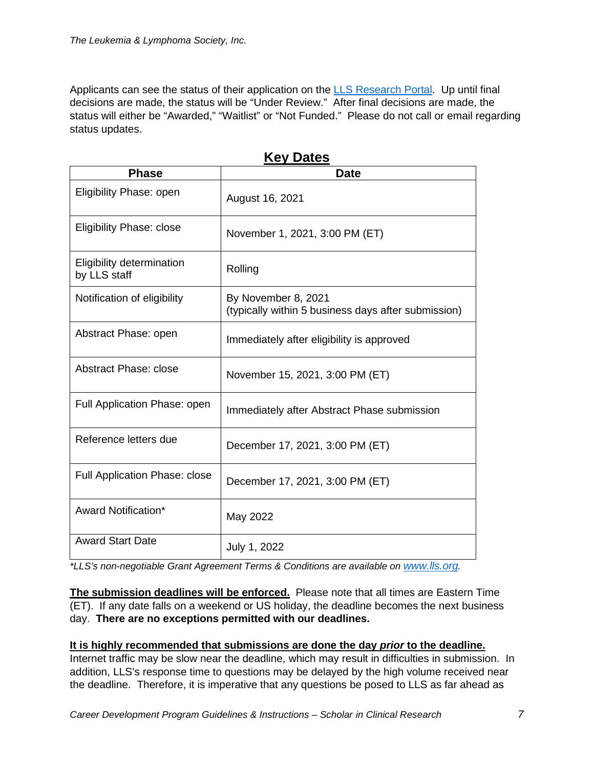Applicants can see the status of their application on the [LLS Research Portal.](https://lls.fluxx.io/) Up until final decisions are made, the status will be "Under Review." After final decisions are made, the status will either be "Awarded," "Waitlist" or "Not Funded." Please do not call or email regarding status updates.

| <b>Phase</b>                              | <b>Date</b>                                                                |
|-------------------------------------------|----------------------------------------------------------------------------|
| Eligibility Phase: open                   | August 16, 2021                                                            |
| <b>Eligibility Phase: close</b>           | November 1, 2021, 3:00 PM (ET)                                             |
| Eligibility determination<br>by LLS staff | Rolling                                                                    |
| Notification of eligibility               | By November 8, 2021<br>(typically within 5 business days after submission) |
| Abstract Phase: open                      | Immediately after eligibility is approved                                  |
| Abstract Phase: close                     | November 15, 2021, 3:00 PM (ET)                                            |
| Full Application Phase: open              | Immediately after Abstract Phase submission                                |
| Reference letters due                     | December 17, 2021, 3:00 PM (ET)                                            |
| Full Application Phase: close             | December 17, 2021, 3:00 PM (ET)                                            |
| Award Notification*                       | May 2022                                                                   |
| <b>Award Start Date</b>                   | July 1, 2022                                                               |

**Key Dates**

*\*LLS's non-negotiable Grant Agreement Terms & Conditions are available on [www.lls.org.](http://www.lls.org/)* 

**The submission deadlines will be enforced.** Please note that all times are Eastern Time (ET). If any date falls on a weekend or US holiday, the deadline becomes the next business day. **There are no exceptions permitted with our deadlines.**

#### **It is highly recommended that submissions are done the day** *prior* **to the deadline.**

Internet traffic may be slow near the deadline, which may result in difficulties in submission. In addition, LLS's response time to questions may be delayed by the high volume received near the deadline. Therefore, it is imperative that any questions be posed to LLS as far ahead as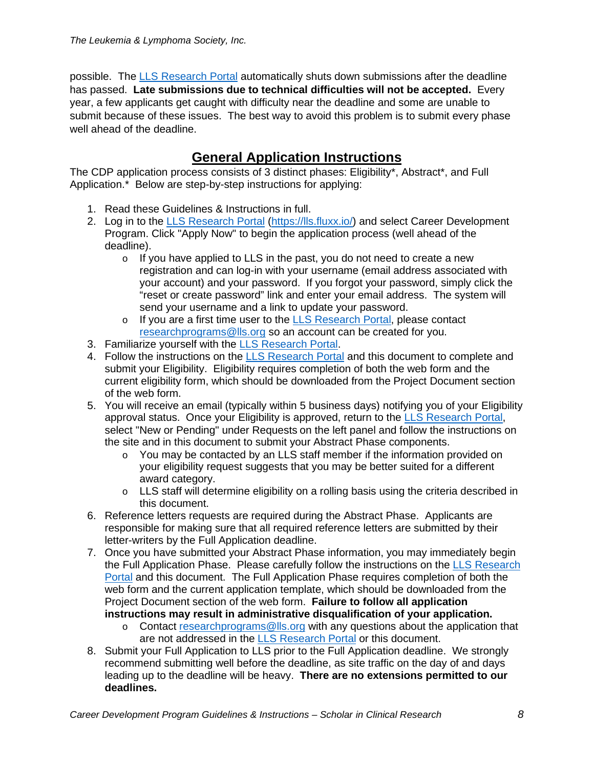possible. The [LLS Research Portal](https://lls.fluxx.io/) automatically shuts down submissions after the deadline has passed. **Late submissions due to technical difficulties will not be accepted.** Every year, a few applicants get caught with difficulty near the deadline and some are unable to submit because of these issues. The best way to avoid this problem is to submit every phase well ahead of the deadline.

# **General Application Instructions**

The CDP application process consists of 3 distinct phases: Eligibility\*, Abstract\*, and Full Application.\* Below are step-by-step instructions for applying:

- 1. Read these Guidelines & Instructions in full.
- 2. Log in to the LLS [Research](https://lls.fluxx.io/) Portal [\(https://lls.fluxx.io/\)](https://lls.fluxx.io/) and select Career Development Program. Click "Apply Now" to begin the application process (well ahead of the deadline).
	- $\circ$  If you have applied to LLS in the past, you do not need to create a new registration and can log-in with your username (email address associated with your account) and your password. If you forgot your password, simply click the "reset or create password" link and enter your email address. The system will send your username and a link to update your password.
	- o If you are a first time user to the [LLS Research Portal,](https://lls.fluxx.io/) please contact [researchprograms@lls.org](mailto:researchprograms@lls.org) so an account can be created for you.
- 3. Familiarize yourself with the [LLS Research Portal.](https://lls.fluxx.io/)
- 4. Follow the instructions on the [LLS Research Portal](https://lls.fluxx.io/) and this document to complete and submit your Eligibility. Eligibility requires completion of both the web form and the current eligibility form, which should be downloaded from the Project Document section of the web form.
- 5. You will receive an email (typically within 5 business days) notifying you of your Eligibility approval status. Once your Eligibility is approved, return to the [LLS Research Portal,](https://lls.fluxx.io/) select "New or Pending" under Requests on the left panel and follow the instructions on the site and in this document to submit your Abstract Phase components.
	- o You may be contacted by an LLS staff member if the information provided on your eligibility request suggests that you may be better suited for a different award category.
	- $\circ$  LLS staff will determine eligibility on a rolling basis using the criteria described in this document.
- 6. Reference letters requests are required during the Abstract Phase. Applicants are responsible for making sure that all required reference letters are submitted by their letter-writers by the Full Application deadline.
- 7. Once you have submitted your Abstract Phase information, you may immediately begin the Full Application Phase. Please carefully follow the instructions on the [LLS Research](https://lls.fluxx.io/)  [Portal](https://lls.fluxx.io/) and this document. The Full Application Phase requires completion of both the web form and the current application template, which should be downloaded from the Project Document section of the web form. **Failure to follow all application instructions may result in administrative disqualification of your application.**
	- o Contact [researchprograms@lls.org](mailto:researchprograms@lls.org) with any questions about the application that are not addressed in the [LLS Research Portal](https://lls.fluxx.io/) or this document.
- 8. Submit your Full Application to LLS prior to the Full Application deadline. We strongly recommend submitting well before the deadline, as site traffic on the day of and days leading up to the deadline will be heavy. **There are no extensions permitted to our deadlines.**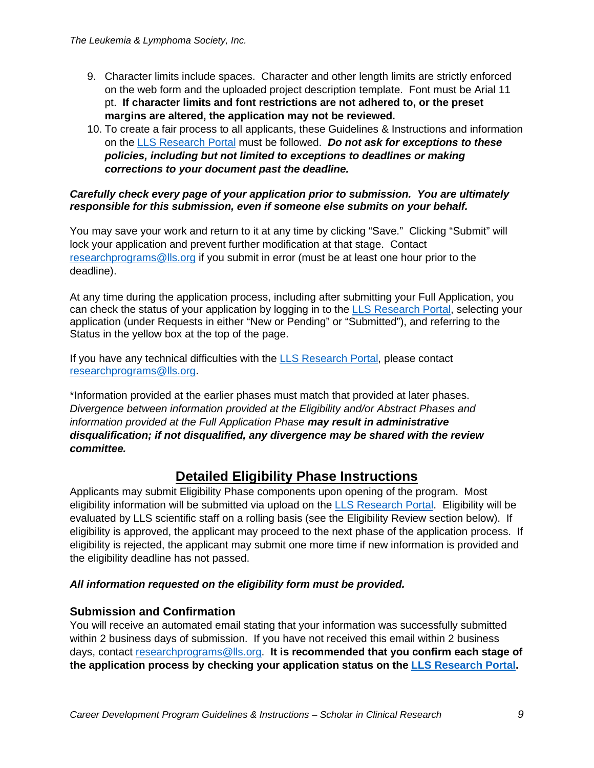- 9. Character limits include spaces. Character and other length limits are strictly enforced on the web form and the uploaded project description template. Font must be Arial 11 pt. **If character limits and font restrictions are not adhered to, or the preset margins are altered, the application may not be reviewed.**
- 10. To create a fair process to all applicants, these Guidelines & Instructions and information on the [LLS Research Portal](https://lls.fluxx.io/) must be followed. *Do not ask for exceptions to these policies, including but not limited to exceptions to deadlines or making corrections to your document past the deadline.*

#### *Carefully check every page of your application prior to submission. You are ultimately responsible for this submission, even if someone else submits on your behalf.*

You may save your work and return to it at any time by clicking "Save." Clicking "Submit" will lock your application and prevent further modification at that stage. Contact [researchprograms@lls.org](mailto:researchprograms@lls.org) if you submit in error (must be at least one hour prior to the deadline).

At any time during the application process, including after submitting your Full Application, you can check the status of your application by logging in to the [LLS Research Portal,](https://lls.fluxx.io/) selecting your application (under Requests in either "New or Pending" or "Submitted"), and referring to the Status in the yellow box at the top of the page.

If you have any technical difficulties with the LLS [Research](https://lls.fluxx.io/) [Portal,](https://lls.fluxx.io/) please contact [researchprograms@lls.org.](mailto:researchprograms@lls.org)

\*Information provided at the earlier phases must match that provided at later phases. *Divergence between information provided at the Eligibility and/or Abstract Phases and information provided at the Full Application Phase may result in administrative disqualification; if not disqualified, any divergence may be shared with the review committee.*

# **Detailed Eligibility Phase Instructions**

Applicants may submit Eligibility Phase components upon opening of the program. Most eligibility information will be submitted via upload on the [LLS Research Portal.](https://lls.fluxx.io/) Eligibility will be evaluated by LLS scientific staff on a rolling basis (see the Eligibility Review section below). If eligibility is approved, the applicant may proceed to the next phase of the application process. If eligibility is rejected, the applicant may submit one more time if new information is provided and the eligibility deadline has not passed.

#### *All information requested on the eligibility form must be provided.*

#### **Submission and Confirmation**

You will receive an automated email stating that your information was successfully submitted within 2 business days of submission. If you have not received this email within 2 business days, contact [researchprograms@lls.org.](mailto:researchprograms@lls.org) **It is recommended that you confirm each stage of the application process by checking your application status on the [LLS Research Portal.](https://lls.fluxx.io/)**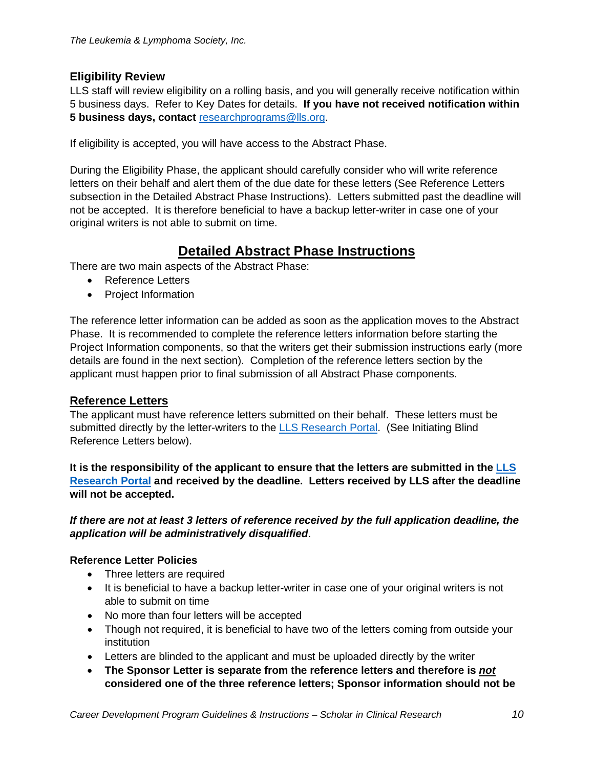#### **Eligibility Review**

LLS staff will review eligibility on a rolling basis, and you will generally receive notification within 5 business days. Refer to Key Dates for details. **If you have not received notification within 5 business days, contact** [researchprograms@lls.org.](mailto:researchprograms@lls.org)

If eligibility is accepted, you will have access to the Abstract Phase.

During the Eligibility Phase, the applicant should carefully consider who will write reference letters on their behalf and alert them of the due date for these letters (See Reference Letters subsection in the Detailed Abstract Phase Instructions). Letters submitted past the deadline will not be accepted. It is therefore beneficial to have a backup letter-writer in case one of your original writers is not able to submit on time.

# **Detailed Abstract Phase Instructions**

There are two main aspects of the Abstract Phase:

- Reference Letters
- Project Information

The reference letter information can be added as soon as the application moves to the Abstract Phase. It is recommended to complete the reference letters information before starting the Project Information components, so that the writers get their submission instructions early (more details are found in the next section). Completion of the reference letters section by the applicant must happen prior to final submission of all Abstract Phase components.

#### **Reference Letters**

The applicant must have reference letters submitted on their behalf. These letters must be submitted directly by the letter-writers to the [LLS Research Portal.](https://lls.fluxx.io/) (See Initiating Blind Reference Letters below).

**It is the responsibility of the applicant to ensure that the letters are submitted in the [LLS](https://lls.fluxx.io/)  [Research Portal](https://lls.fluxx.io/) and received by the deadline. Letters received by LLS after the deadline will not be accepted.**

*If there are not at least 3 letters of reference received by the full application deadline, the application will be administratively disqualified*.

#### **Reference Letter Policies**

- Three letters are required
- It is beneficial to have a backup letter-writer in case one of your original writers is not able to submit on time
- No more than four letters will be accepted
- Though not required, it is beneficial to have two of the letters coming from outside your institution
- Letters are blinded to the applicant and must be uploaded directly by the writer
- **The Sponsor Letter is separate from the reference letters and therefore is** *not* **considered one of the three reference letters; Sponsor information should not be**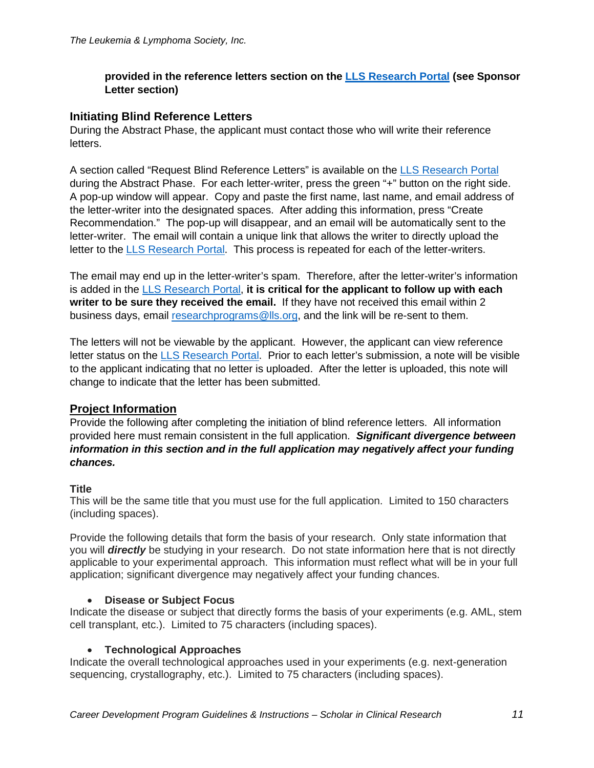#### **provided in the reference letters section on the [LLS Research Portal](https://lls.fluxx.io/) (see Sponsor Letter section)**

#### **Initiating Blind Reference Letters**

During the Abstract Phase, the applicant must contact those who will write their reference letters.

A section called "Request Blind Reference Letters" is available on the [LLS Research Portal](https://lls.fluxx.io/) during the Abstract Phase. For each letter-writer, press the green "+" button on the right side. A pop-up window will appear. Copy and paste the first name, last name, and email address of the letter-writer into the designated spaces. After adding this information, press "Create Recommendation." The pop-up will disappear, and an email will be automatically sent to the letter-writer. The email will contain a unique link that allows the writer to directly upload the letter to the [LLS Research Portal.](https://lls.fluxx.io/) This process is repeated for each of the letter-writers.

The email may end up in the letter-writer's spam. Therefore, after the letter-writer's information is added in the [LLS Research Portal,](https://lls.fluxx.io/) **it is critical for the applicant to follow up with each writer to be sure they received the email.** If they have not received this email within 2 business days, email [researchprograms@lls.org,](mailto:researchprograms@lls.org) and the link will be re-sent to them.

The letters will not be viewable by the applicant. However, the applicant can view reference letter status on the [LLS Research Portal.](https://lls.fluxx.io/) Prior to each letter's submission, a note will be visible to the applicant indicating that no letter is uploaded. After the letter is uploaded, this note will change to indicate that the letter has been submitted.

#### **Project Information**

Provide the following after completing the initiation of blind reference letters. All information provided here must remain consistent in the full application. *Significant divergence between information in this section and in the full application may negatively affect your funding chances.*

#### **Title**

This will be the same title that you must use for the full application. Limited to 150 characters (including spaces).

Provide the following details that form the basis of your research. Only state information that you will *directly* be studying in your research. Do not state information here that is not directly applicable to your experimental approach. This information must reflect what will be in your full application; significant divergence may negatively affect your funding chances.

#### • **Disease or Subject Focus**

Indicate the disease or subject that directly forms the basis of your experiments (e.g. AML, stem cell transplant, etc.). Limited to 75 characters (including spaces).

#### • **Technological Approaches**

Indicate the overall technological approaches used in your experiments (e.g. next-generation sequencing, crystallography, etc.). Limited to 75 characters (including spaces).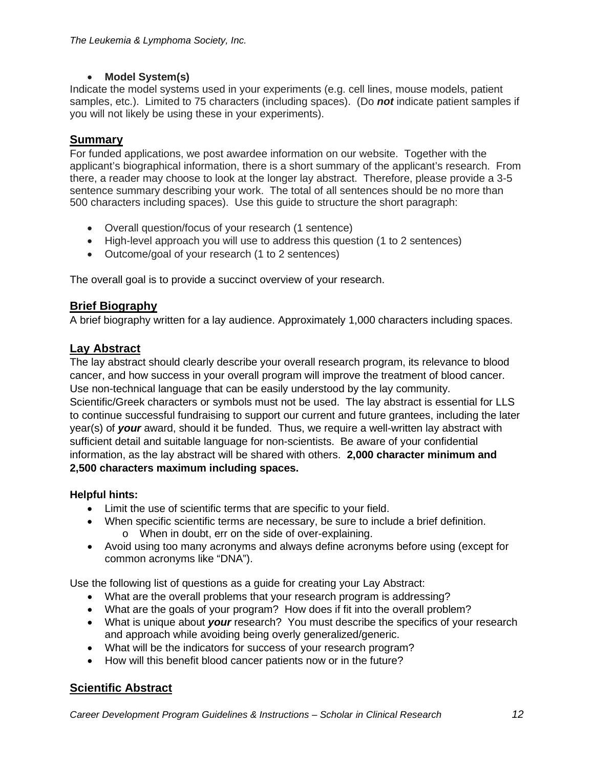#### • **Model System(s)**

Indicate the model systems used in your experiments (e.g. cell lines, mouse models, patient samples, etc.). Limited to 75 characters (including spaces). (Do *not* indicate patient samples if you will not likely be using these in your experiments).

#### **Summary**

For funded applications, we post awardee information on our website. Together with the applicant's biographical information, there is a short summary of the applicant's research. From there, a reader may choose to look at the longer lay abstract. Therefore, please provide a 3-5 sentence summary describing your work. The total of all sentences should be no more than 500 characters including spaces). Use this guide to structure the short paragraph:

- Overall question/focus of your research (1 sentence)
- High-level approach you will use to address this question (1 to 2 sentences)
- Outcome/goal of your research (1 to 2 sentences)

The overall goal is to provide a succinct overview of your research.

## **Brief Biography**

A brief biography written for a lay audience. Approximately 1,000 characters including spaces.

## **Lay Abstract**

The lay abstract should clearly describe your overall research program, its relevance to blood cancer, and how success in your overall program will improve the treatment of blood cancer. Use non-technical language that can be easily understood by the lay community. Scientific/Greek characters or symbols must not be used. The lay abstract is essential for LLS to continue successful fundraising to support our current and future grantees, including the later year(s) of *your* award, should it be funded. Thus, we require a well-written lay abstract with sufficient detail and suitable language for non-scientists. Be aware of your confidential information, as the lay abstract will be shared with others. **2,000 character minimum and 2,500 characters maximum including spaces.**

#### **Helpful hints:**

- Limit the use of scientific terms that are specific to your field.
- When specific scientific terms are necessary, be sure to include a brief definition. o When in doubt, err on the side of over-explaining.
- Avoid using too many acronyms and always define acronyms before using (except for common acronyms like "DNA").

Use the following list of questions as a guide for creating your Lay Abstract:

- What are the overall problems that your research program is addressing?
- What are the goals of your program? How does if fit into the overall problem?
- What is unique about *your* research? You must describe the specifics of your research and approach while avoiding being overly generalized/generic.
- What will be the indicators for success of your research program?
- How will this benefit blood cancer patients now or in the future?

#### **Scientific Abstract**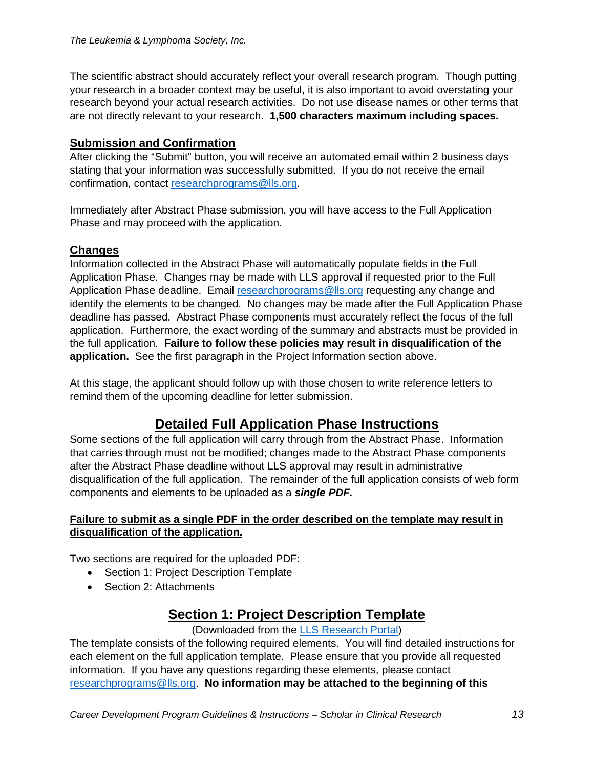The scientific abstract should accurately reflect your overall research program. Though putting your research in a broader context may be useful, it is also important to avoid overstating your research beyond your actual research activities. Do not use disease names or other terms that are not directly relevant to your research. **1,500 characters maximum including spaces.**

## **Submission and Confirmation**

After clicking the "Submit" button, you will receive an automated email within 2 business days stating that your information was successfully submitted. If you do not receive the email confirmation, contact [researchprograms@lls.org.](mailto:researchprograms@lls.org)

Immediately after Abstract Phase submission, you will have access to the Full Application Phase and may proceed with the application.

## **Changes**

Information collected in the Abstract Phase will automatically populate fields in the Full Application Phase. Changes may be made with LLS approval if requested prior to the Full Application Phase deadline. Email [researchprograms@lls.org](mailto:researchprograms@lls.org) requesting any change and identify the elements to be changed. No changes may be made after the Full Application Phase deadline has passed. Abstract Phase components must accurately reflect the focus of the full application. Furthermore, the exact wording of the summary and abstracts must be provided in the full application. **Failure to follow these policies may result in disqualification of the application.** See the first paragraph in the Project Information section above.

At this stage, the applicant should follow up with those chosen to write reference letters to remind them of the upcoming deadline for letter submission.

# **Detailed Full Application Phase Instructions**

Some sections of the full application will carry through from the Abstract Phase. Information that carries through must not be modified; changes made to the Abstract Phase components after the Abstract Phase deadline without LLS approval may result in administrative disqualification of the full application. The remainder of the full application consists of web form components and elements to be uploaded as a *single PDF.*

#### **Failure to submit as a single PDF in the order described on the template may result in disqualification of the application.**

Two sections are required for the uploaded PDF:

- Section 1: Project Description Template
- Section 2: Attachments

# **Section 1: Project Description Template**

#### (Downloaded from the [LLS Research Portal\)](https://lls.fluxx.io/)

The template consists of the following required elements. You will find detailed instructions for each element on the full application template. Please ensure that you provide all requested information. If you have any questions regarding these elements, please contact [researchprograms@lls.org.](mailto:researchprograms@lls.org) **No information may be attached to the beginning of this**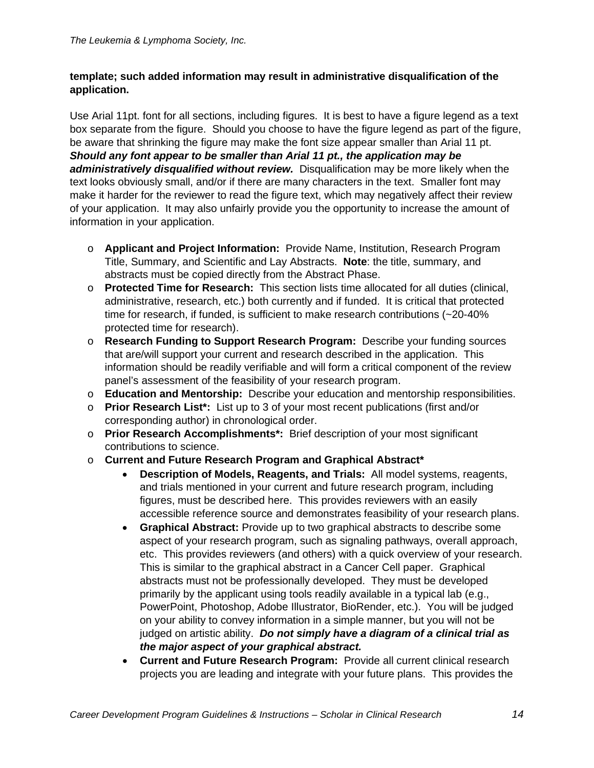#### **template; such added information may result in administrative disqualification of the application.**

Use Arial 11pt. font for all sections, including figures. It is best to have a figure legend as a text box separate from the figure. Should you choose to have the figure legend as part of the figure, be aware that shrinking the figure may make the font size appear smaller than Arial 11 pt. *Should any font appear to be smaller than Arial 11 pt., the application may be administratively disqualified without review.* Disqualification may be more likely when the text looks obviously small, and/or if there are many characters in the text. Smaller font may make it harder for the reviewer to read the figure text, which may negatively affect their review of your application. It may also unfairly provide you the opportunity to increase the amount of information in your application.

- o **Applicant and Project Information:** Provide Name, Institution, Research Program Title, Summary, and Scientific and Lay Abstracts. **Note**: the title, summary, and abstracts must be copied directly from the Abstract Phase.
- o **Protected Time for Research:** This section lists time allocated for all duties (clinical, administrative, research, etc.) both currently and if funded. It is critical that protected time for research, if funded, is sufficient to make research contributions (~20-40% protected time for research).
- o **Research Funding to Support Research Program:** Describe your funding sources that are/will support your current and research described in the application. This information should be readily verifiable and will form a critical component of the review panel's assessment of the feasibility of your research program.
- o **Education and Mentorship:** Describe your education and mentorship responsibilities.
- o **Prior Research List\*:** List up to 3 of your most recent publications (first and/or corresponding author) in chronological order.
- o **Prior Research Accomplishments\*:** Brief description of your most significant contributions to science.
- o **Current and Future Research Program and Graphical Abstract\***
	- **Description of Models, Reagents, and Trials:** All model systems, reagents, and trials mentioned in your current and future research program, including figures, must be described here. This provides reviewers with an easily accessible reference source and demonstrates feasibility of your research plans.
	- **Graphical Abstract:** Provide up to two graphical abstracts to describe some aspect of your research program, such as signaling pathways, overall approach, etc. This provides reviewers (and others) with a quick overview of your research. This is similar to the graphical abstract in a Cancer Cell paper. Graphical abstracts must not be professionally developed. They must be developed primarily by the applicant using tools readily available in a typical lab (e.g., PowerPoint, Photoshop, Adobe Illustrator, BioRender, etc.). You will be judged on your ability to convey information in a simple manner, but you will not be judged on artistic ability. *Do not simply have a diagram of a clinical trial as the major aspect of your graphical abstract.*
	- **Current and Future Research Program:** Provide all current clinical research projects you are leading and integrate with your future plans. This provides the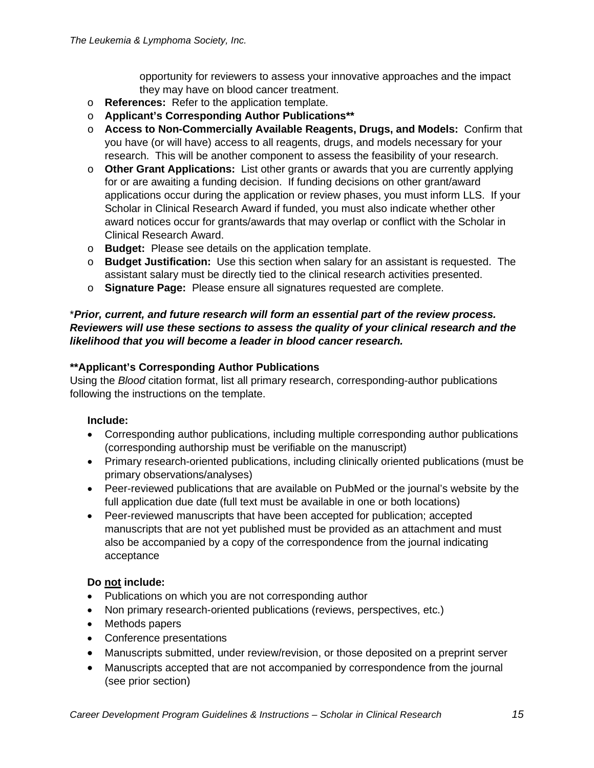opportunity for reviewers to assess your innovative approaches and the impact they may have on blood cancer treatment.

- o **References:** Refer to the application template.
- o **Applicant's Corresponding Author Publications\*\***
- o **Access to Non-Commercially Available Reagents, Drugs, and Models:** Confirm that you have (or will have) access to all reagents, drugs, and models necessary for your research. This will be another component to assess the feasibility of your research.
- o **Other Grant Applications:** List other grants or awards that you are currently applying for or are awaiting a funding decision. If funding decisions on other grant/award applications occur during the application or review phases, you must inform LLS. If your Scholar in Clinical Research Award if funded, you must also indicate whether other award notices occur for grants/awards that may overlap or conflict with the Scholar in Clinical Research Award.
- o **Budget:** Please see details on the application template.
- o **Budget Justification:** Use this section when salary for an assistant is requested. The assistant salary must be directly tied to the clinical research activities presented.
- o **Signature Page:** Please ensure all signatures requested are complete.

#### \**Prior, current, and future research will form an essential part of the review process. Reviewers will use these sections to assess the quality of your clinical research and the likelihood that you will become a leader in blood cancer research.*

#### **\*\*Applicant's Corresponding Author Publications**

Using the *Blood* citation format, list all primary research, corresponding-author publications following the instructions on the template.

#### **Include:**

- Corresponding author publications, including multiple corresponding author publications (corresponding authorship must be verifiable on the manuscript)
- Primary research-oriented publications, including clinically oriented publications (must be primary observations/analyses)
- Peer-reviewed publications that are available on PubMed or the journal's website by the full application due date (full text must be available in one or both locations)
- Peer-reviewed manuscripts that have been accepted for publication; accepted manuscripts that are not yet published must be provided as an attachment and must also be accompanied by a copy of the correspondence from the journal indicating acceptance

#### **Do not include:**

- Publications on which you are not corresponding author
- Non primary research-oriented publications (reviews, perspectives, etc.)
- Methods papers
- Conference presentations
- Manuscripts submitted, under review/revision, or those deposited on a preprint server
- Manuscripts accepted that are not accompanied by correspondence from the journal (see prior section)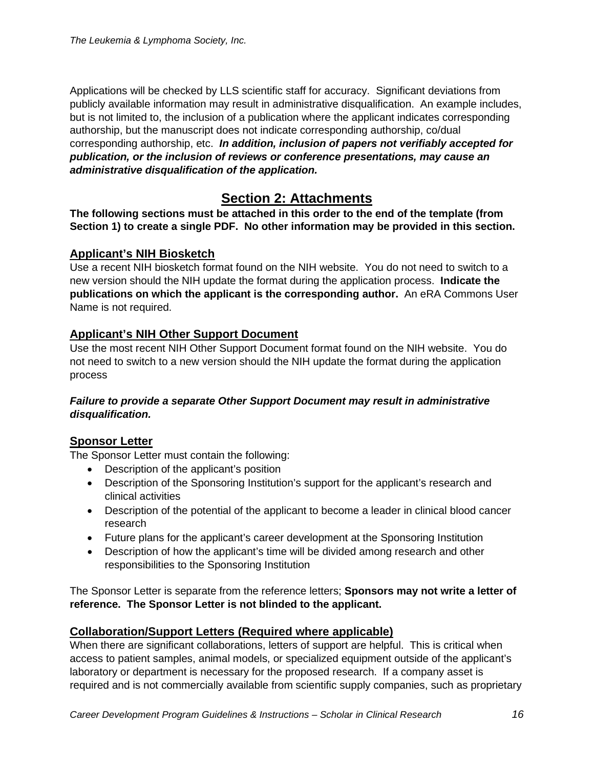Applications will be checked by LLS scientific staff for accuracy. Significant deviations from publicly available information may result in administrative disqualification. An example includes, but is not limited to, the inclusion of a publication where the applicant indicates corresponding authorship, but the manuscript does not indicate corresponding authorship, co/dual corresponding authorship, etc. *In addition, inclusion of papers not verifiably accepted for publication, or the inclusion of reviews or conference presentations, may cause an administrative disqualification of the application.*

# **Section 2: Attachments**

**The following sections must be attached in this order to the end of the template (from Section 1) to create a single PDF. No other information may be provided in this section.**

#### **Applicant's NIH Biosketch**

Use a recent NIH biosketch format found on the NIH website. You do not need to switch to a new version should the NIH update the format during the application process. **Indicate the publications on which the applicant is the corresponding author.** An eRA Commons User Name is not required.

## **Applicant's NIH Other Support Document**

Use the most recent NIH Other Support Document format found on the NIH website. You do not need to switch to a new version should the NIH update the format during the application process

#### *Failure to provide a separate Other Support Document may result in administrative disqualification.*

#### **Sponsor Letter**

The Sponsor Letter must contain the following:

- Description of the applicant's position
- Description of the Sponsoring Institution's support for the applicant's research and clinical activities
- Description of the potential of the applicant to become a leader in clinical blood cancer research
- Future plans for the applicant's career development at the Sponsoring Institution
- Description of how the applicant's time will be divided among research and other responsibilities to the Sponsoring Institution

The Sponsor Letter is separate from the reference letters; **Sponsors may not write a letter of reference. The Sponsor Letter is not blinded to the applicant.**

## **Collaboration/Support Letters (Required where applicable)**

When there are significant collaborations, letters of support are helpful. This is critical when access to patient samples, animal models, or specialized equipment outside of the applicant's laboratory or department is necessary for the proposed research. If a company asset is required and is not commercially available from scientific supply companies, such as proprietary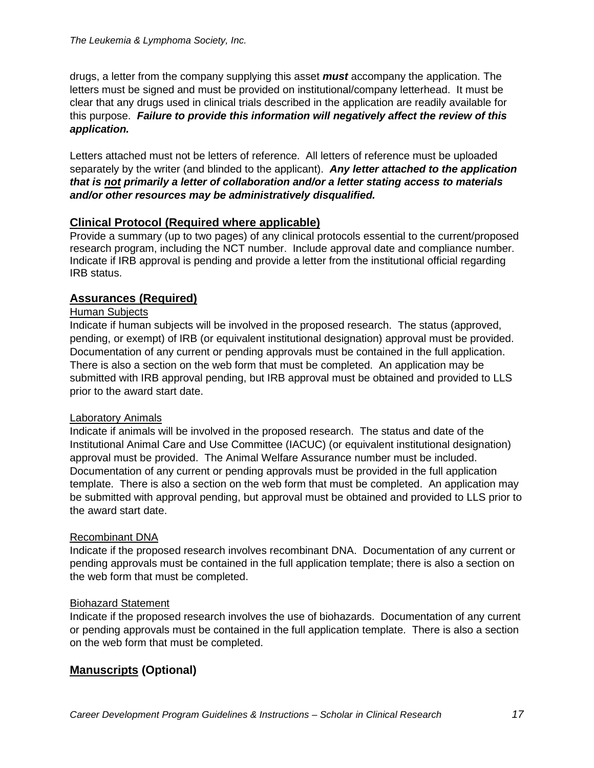drugs, a letter from the company supplying this asset *must* accompany the application. The letters must be signed and must be provided on institutional/company letterhead. It must be clear that any drugs used in clinical trials described in the application are readily available for this purpose. *Failure to provide this information will negatively affect the review of this application.*

Letters attached must not be letters of reference. All letters of reference must be uploaded separately by the writer (and blinded to the applicant). *Any letter attached to the application that is not primarily a letter of collaboration and/or a letter stating access to materials and/or other resources may be administratively disqualified.*

#### **Clinical Protocol (Required where applicable)**

Provide a summary (up to two pages) of any clinical protocols essential to the current/proposed research program, including the NCT number. Include approval date and compliance number. Indicate if IRB approval is pending and provide a letter from the institutional official regarding IRB status.

## **Assurances (Required)**

#### Human Subjects

Indicate if human subjects will be involved in the proposed research. The status (approved, pending, or exempt) of IRB (or equivalent institutional designation) approval must be provided. Documentation of any current or pending approvals must be contained in the full application. There is also a section on the web form that must be completed. An application may be submitted with IRB approval pending, but IRB approval must be obtained and provided to LLS prior to the award start date.

#### Laboratory Animals

Indicate if animals will be involved in the proposed research. The status and date of the Institutional Animal Care and Use Committee (IACUC) (or equivalent institutional designation) approval must be provided. The Animal Welfare Assurance number must be included. Documentation of any current or pending approvals must be provided in the full application template. There is also a section on the web form that must be completed. An application may be submitted with approval pending, but approval must be obtained and provided to LLS prior to the award start date.

#### Recombinant DNA

Indicate if the proposed research involves recombinant DNA. Documentation of any current or pending approvals must be contained in the full application template; there is also a section on the web form that must be completed.

#### Biohazard Statement

Indicate if the proposed research involves the use of biohazards. Documentation of any current or pending approvals must be contained in the full application template. There is also a section on the web form that must be completed.

## **Manuscripts (Optional)**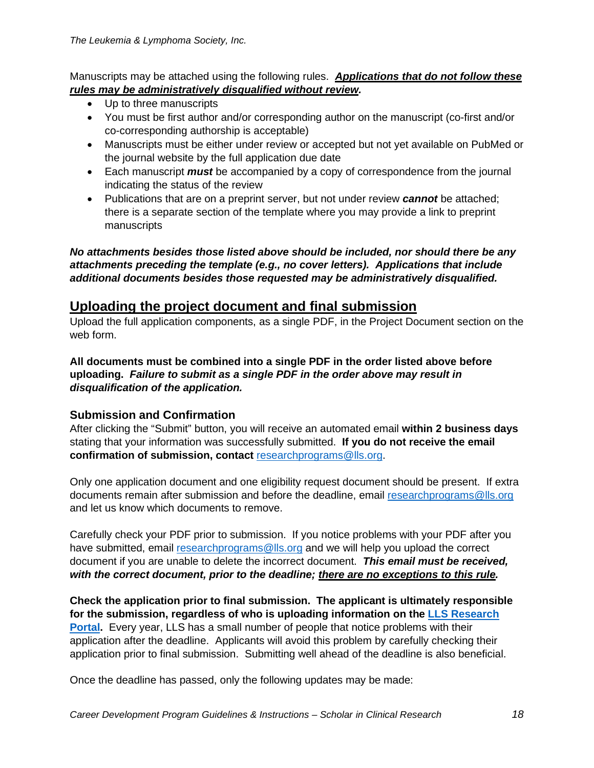Manuscripts may be attached using the following rules. *Applications that do not follow these rules may be administratively disqualified without review.*

- Up to three manuscripts
- You must be first author and/or corresponding author on the manuscript (co-first and/or co-corresponding authorship is acceptable)
- Manuscripts must be either under review or accepted but not yet available on PubMed or the journal website by the full application due date
- Each manuscript *must* be accompanied by a copy of correspondence from the journal indicating the status of the review
- Publications that are on a preprint server, but not under review *cannot* be attached; there is a separate section of the template where you may provide a link to preprint manuscripts

*No attachments besides those listed above should be included, nor should there be any attachments preceding the template (e.g., no cover letters). Applications that include additional documents besides those requested may be administratively disqualified.*

# **Uploading the project document and final submission**

Upload the full application components, as a single PDF, in the Project Document section on the web form.

**All documents must be combined into a single PDF in the order listed above before uploading.** *Failure to submit as a single PDF in the order above may result in disqualification of the application.*

## **Submission and Confirmation**

After clicking the "Submit" button, you will receive an automated email **within 2 business days** stating that your information was successfully submitted. **If you do not receive the email confirmation of submission, contact**[researchprograms@lls.org.](mailto:researchprograms@lls.org)

Only one application document and one eligibility request document should be present. If extra documents remain after submission and before the deadline, email [researchprograms@lls.org](mailto:researchprograms@lls.org) and let us know which documents to remove.

Carefully check your PDF prior to submission. If you notice problems with your PDF after you have submitted, email [researchprograms@lls.org](mailto:researchprograms@lls.org) and we will help you upload the correct document if you are unable to delete the incorrect document. *This email must be received, with the correct document, prior to the deadline; there are no exceptions to this rule.*

**Check the application prior to final submission. The applicant is ultimately responsible for the submission, regardless of who is uploading information on the [LLS Research](https://lls.fluxx.io/) [Portal.](https://lls.fluxx.io/)** Every year, LLS has a small number of people that notice problems with their application after the deadline. Applicants will avoid this problem by carefully checking their application prior to final submission. Submitting well ahead of the deadline is also beneficial.

Once the deadline has passed, only the following updates may be made: